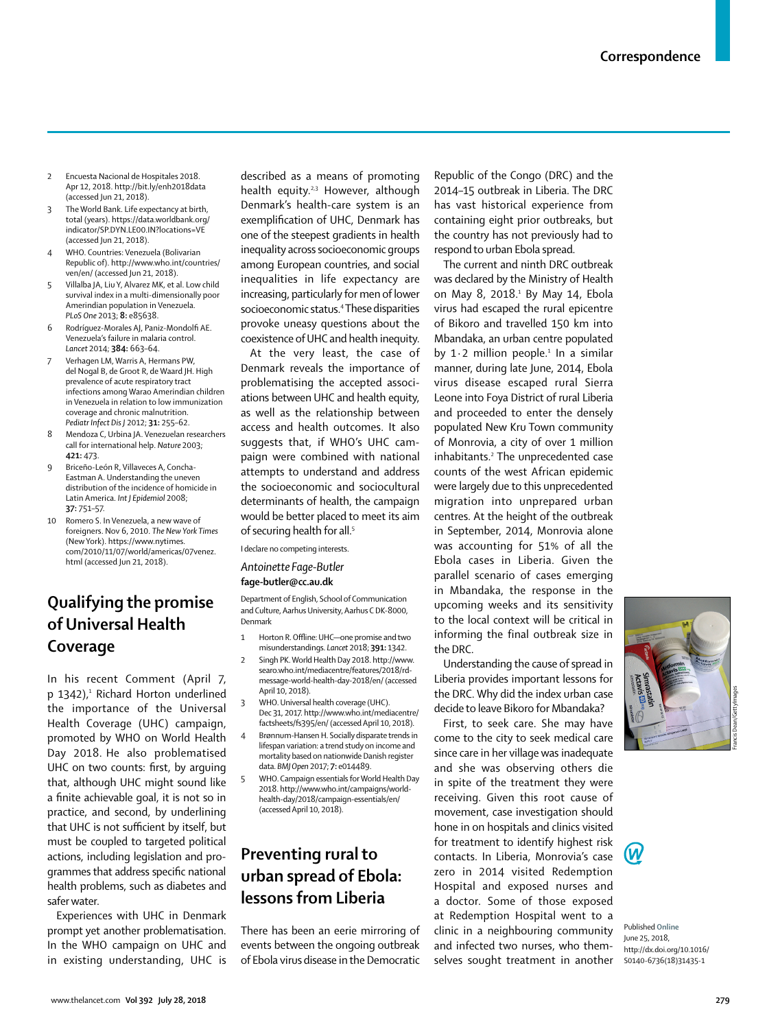- 2 Encuesta Nacional de Hospitales 2018. Apr 12, 2018. http://bit.ly/enh2018data (accessed Jun 21, 2018).
- The World Bank. Life expectancy at birth, total (years). https://data.worldbank.org/ indicator/SP.DYN.LE00.IN?locations=VE (accessed Jun 21, 2018).
- 4 WHO. Countries: Venezuela (Bolivarian Republic of). http://www.who.int/countries/ ven/en/ (accessed Jun 21, 2018).
- 5 Villalba JA, Liu Y, Alvarez MK, et al. Low child survival index in a multi-dimensionally poor Amerindian population in Venezuela. *PLoS One* 2013; **8:** e85638.
- 6 Rodríguez-Morales AJ, Paniz-Mondolfi AE. Venezuela's failure in malaria control. *Lancet* 2014; **384:** 663–64.
- 7 Verhagen LM, Warris A, Hermans PW, del Nogal B, de Groot R, de Waard JH. High prevalence of acute respiratory tract infections among Warao Amerindian children in Venezuela in relation to low immunization coverage and chronic malnutrition. *Pediatr Infect Dis J* 2012; **31:** 255–62.
- 8 Mendoza C, Urbina JA. Venezuelan researchers call for international help. *Nature* 2003; **421:** 473.
- 9 Briceño-León R, Villaveces A, Concha-Eastman A. Understanding the uneven distribution of the incidence of homicide in Latin America. *Int J Epidemiol* 2008; **37:** 751–57.
- 10 Romero S. In Venezuela, a new wave of foreigners. Nov 6, 2010. *The New York Times*  (New York). https://www.nytimes. com/2010/11/07/world/americas/07venez. html (accessed Jun 21, 2018).

# **Qualifying the promise of Universal Health Coverage**

In his recent Comment (April 7, p 1342),<sup>1</sup> Richard Horton underlined the importance of the Universal Health Coverage (UHC) campaign, promoted by WHO on World Health Day 2018. He also problematised UHC on two counts: first, by arguing that, although UHC might sound like a finite achievable goal, it is not so in practice, and second, by underlining that UHC is not sufficient by itself, but must be coupled to targeted political actions, including legislation and programmes that address specific national health problems, such as diabetes and safer water.

Experiences with UHC in Denmark prompt yet another problematisation. In the WHO campaign on UHC and in existing understanding, UHC is described as a means of promoting health equity.<sup>2,3</sup> However, although Denmark's health-care system is an exemplification of UHC, Denmark has one of the steepest gradients in health inequality across socioeconomic groups among European countries, and social inequalities in life expectancy are increasing, particularly for men of lower socioeconomic status.<sup>4</sup> These disparities provoke uneasy questions about the coexistence of UHC and health inequity.

At the very least, the case of Denmark reveals the importance of problematising the accepted associations between UHC and health equity, as well as the relationship between access and health outcomes. It also suggests that, if WHO's UHC campaign were combined with national attempts to understand and address the socioeconomic and sociocultural determinants of health, the campaign would be better placed to meet its aim of securing health for all.<sup>5</sup>

I declare no competing interests.

#### *Antoinette Fage-Butler* **fage-butler@cc.au.dk**

Department of English, School of Communication and Culture, Aarhus University, Aarhus C DK-8000, Denmark

- 1 Horton R. Offline: UHC—one promise and two misunderstandings. *Lancet* 2018; **391:** 1342.
- 2 Singh PK. World Health Day 2018. http://www. searo.who.int/mediacentre/features/2018/rdmessage-world-health-day-2018/en/ (accessed April 10, 2018).
- 3 WHO. Universal health coverage (UHC). Dec 31, 2017. http://www.who.int/mediacentre/ factsheets/fs395/en/ (accessed April 10, 2018).
	- 4 Brønnum-Hansen H. Socially disparate trends in lifespan variation: a trend study on income and mortality based on nationwide Danish register data. *BMJ Open* 2017; **7:** e014489.
	- 5 WHO. Campaign essentials for World Health Day 2018. http://www.who.int/campaigns/worldhealth-day/2018/campaign-essentials/en/ (accessed April 10, 2018).

# **Preventing rural to urban spread of Ebola: lessons from Liberia**

There has been an eerie mirroring of events between the ongoing outbreak of Ebola virus disease in the Democratic

Republic of the Congo (DRC) and the 2014–15 outbreak in Liberia. The DRC has vast historical experience from containing eight prior outbreaks, but the country has not previously had to respond to urban Ebola spread.

The current and ninth DRC outbreak was declared by the Ministry of Health on May 8, 2018.<sup>1</sup> By May 14, Ebola virus had escaped the rural epicentre of Bikoro and travelled 150 km into Mbandaka, an urban centre populated by  $1·2$  million people.<sup>1</sup> In a similar manner, during late June, 2014, Ebola virus disease escaped rural Sierra Leone into Foya District of rural Liberia and proceeded to enter the densely populated New Kru Town community of Monrovia, a city of over 1 million inhabitants.<sup>2</sup> The unprecedented case counts of the west African epidemic were largely due to this unprecedented migration into unprepared urban centres. At the height of the outbreak in September, 2014, Monrovia alone was accounting for 51% of all the Ebola cases in Liberia. Given the parallel scenario of cases emerging in Mbandaka, the response in the upcoming weeks and its sensitivity to the local context will be critical in informing the final outbreak size in the DRC.

Understanding the cause of spread in Liberia provides important lessons for the DRC. Why did the index urban case decide to leave Bikoro for Mbandaka?

First, to seek care. She may have come to the city to seek medical care since care in her village was inadequate and she was observing others die in spite of the treatment they were receiving. Given this root cause of movement, case investigation should hone in on hospitals and clinics visited for treatment to identify highest risk contacts. In Liberia, Monrovia's case zero in 2014 visited Redemption Hospital and exposed nurses and a doctor. Some of those exposed at Redemption Hospital went to a clinic in a neighbouring community and infected two nurses, who themselves sought treatment in another



Published **Online** June 25, 2018, http://dx.doi.org/10.1016/ S0140-6736(18)31435-1